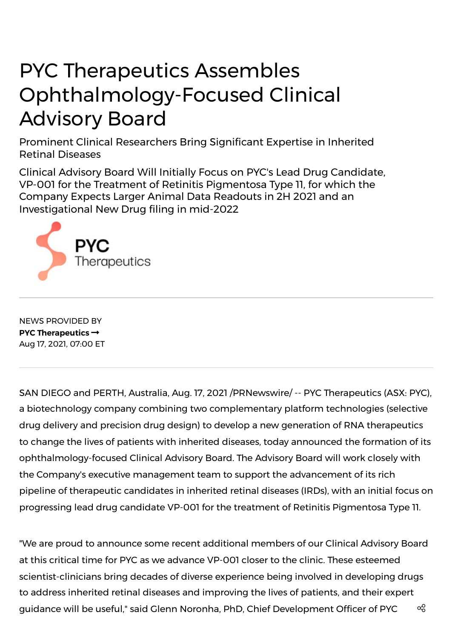## PYC Therapeutics Assembles Ophthalmology-Focused Clinical Advisory Board

Prominent Clinical Researchers Bring Significant Expertise in Inherited Retinal Diseases

Clinical Advisory Board Will Initially Focus on PYC's Lead Drug Candidate, VP-001 for the Treatment of Retinitis Pigmentosa Type 11, for which the Company Expects Larger Animal Data Readouts in 2H 2021 and an Investigational New Drug filing in mid-2022



NEWS PROVIDED BY **PYC [Therapeutics](https://www.prnewswire.com/news/pyc-therapeutics/)** Aug 17, 2021, 07:00 ET

SAN DIEGO and PERTH, Australia, Aug. 17, 2021 /PRNewswire/ -- PYC Therapeutics (ASX: PYC), a biotechnology company combining two complementary platform technologies (selective drug delivery and precision drug design) to develop a new generation of RNA therapeutics to change the lives of patients with inherited diseases, today announced the formation of its ophthalmology-focused Clinical Advisory Board. The Advisory Board will work closely with the Company's executive management team to support the advancement of its rich pipeline of therapeutic candidates in inherited retinal diseases (IRDs), with an initial focus on progressing lead drug candidate VP-001 for the treatment of Retinitis Pigmentosa Type 11.

"We are proud to announce some recent additional members of our Clinical Advisory Board at this critical time for PYC as we advance VP-001 closer to the clinic. These esteemed scientist-clinicians bring decades of diverse experience being involved in developing drugs to address inherited retinal diseases and improving the lives of patients, and their expert guidance will be useful," said Glenn Noronha, PhD, Chief Development Officer of PYC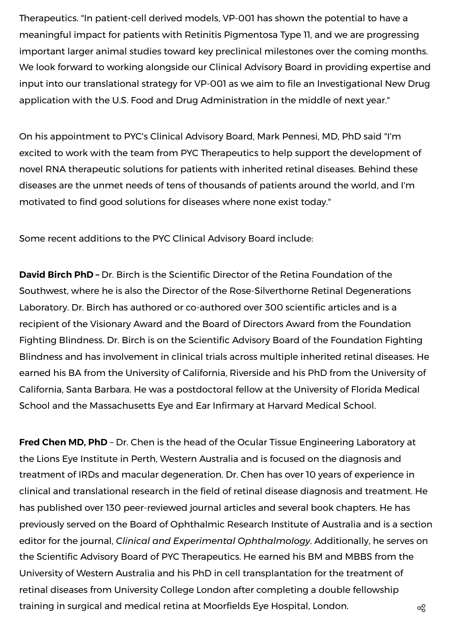Therapeutics. "In patient-cell derived models, VP-001 has shown the potential to have a meaningful impact for patients with Retinitis Pigmentosa Type 11, and we are progressing important larger animal studies toward key preclinical milestones over the coming months. We look forward to working alongside our Clinical Advisory Board in providing expertise and input into our translational strategy for VP-001 as we aim to file an Investigational New Drug application with the U.S. Food and Drug Administration in the middle of next year."

On his appointment to PYC's Clinical Advisory Board, Mark Pennesi, MD, PhD said "I'm excited to work with the team from PYC Therapeutics to help support the development of novel RNA therapeutic solutions for patients with inherited retinal diseases. Behind these diseases are the unmet needs of tens of thousands of patients around the world, and I'm motivated to find good solutions for diseases where none exist today."

Some recent additions to the PYC Clinical Advisory Board include:

**David Birch PhD –** Dr. Birch is the Scientific Director of the Retina Foundation of the Southwest, where he is also the Director of the Rose-Silverthorne Retinal Degenerations Laboratory. Dr. Birch has authored or co-authored over 300 scientific articles and is a recipient of the Visionary Award and the Board of Directors Award from the Foundation Fighting Blindness. Dr. Birch is on the Scientific Advisory Board of the Foundation Fighting Blindness and has involvement in clinical trials across multiple inherited retinal diseases. He earned his BA from the University of California, Riverside and his PhD from the University of California, Santa Barbara. He was a postdoctoral fellow at the University of Florida Medical School and the Massachusetts Eye and Ear Infirmary at Harvard Medical School.

**Fred Chen MD, PhD** – Dr. Chen is the head of the Ocular Tissue Engineering Laboratory at the Lions Eye Institute in Perth, Western Australia and is focused on the diagnosis and treatment of IRDs and macular degeneration. Dr. Chen has over 10 years of experience in clinical and translational research in the field of retinal disease diagnosis and treatment. He has published over 130 peer-reviewed journal articles and several book chapters. He has previously served on the Board of Ophthalmic Research Institute of Australia and is a section editor for the journal, *Clinical and Experimental Ophthalmology*. Additionally, he serves on the Scientific Advisory Board of PYC Therapeutics. He earned his BM and MBBS from the University of Western Australia and his PhD in cell transplantation for the treatment of retinal diseases from University College London after completing a double fellowship training in surgical and medical retina at Moorfields Eye Hospital, London.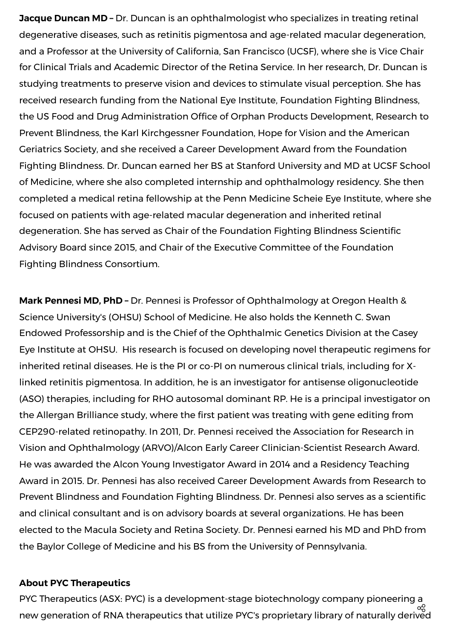**Jacque Duncan MD –** Dr. Duncan is an ophthalmologist who specializes in treating retinal degenerative diseases, such as retinitis pigmentosa and age-related macular degeneration, and a Professor at the University of California, San Francisco (UCSF), where she is Vice Chair for Clinical Trials and Academic Director of the Retina Service. In her research, Dr. Duncan is studying treatments to preserve vision and devices to stimulate visual perception. She has received research funding from the National Eye Institute, Foundation Fighting Blindness, the US Food and Drug Administration Office of Orphan Products Development, Research to Prevent Blindness, the Karl Kirchgessner Foundation, Hope for Vision and the American Geriatrics Society, and she received a Career Development Award from the Foundation Fighting Blindness. Dr. Duncan earned her BS at Stanford University and MD at UCSF School of Medicine, where she also completed internship and ophthalmology residency. She then completed a medical retina fellowship at the Penn Medicine Scheie Eye Institute, where she focused on patients with age-related macular degeneration and inherited retinal degeneration. She has served as Chair of the Foundation Fighting Blindness Scientific Advisory Board since 2015, and Chair of the Executive Committee of the Foundation Fighting Blindness Consortium.

**Mark Pennesi MD, PhD –** Dr. Pennesi is Professor of Ophthalmology at Oregon Health & Science University's (OHSU) School of Medicine. He also holds the Kenneth C. Swan Endowed Professorship and is the Chief of the Ophthalmic Genetics Division at the Casey Eye Institute at OHSU. His research is focused on developing novel therapeutic regimens for inherited retinal diseases. He is the PI or co-PI on numerous clinical trials, including for Xlinked retinitis pigmentosa. In addition, he is an investigator for antisense oligonucleotide (ASO) therapies, including for RHO autosomal dominant RP. He is a principal investigator on the Allergan Brilliance study, where the first patient was treating with gene editing from CEP290-related retinopathy. In 2011, Dr. Pennesi received the Association for Research in Vision and Ophthalmology (ARVO)/Alcon Early Career Clinician-Scientist Research Award. He was awarded the Alcon Young Investigator Award in 2014 and a Residency Teaching Award in 2015. Dr. Pennesi has also received Career Development Awards from Research to Prevent Blindness and Foundation Fighting Blindness. Dr. Pennesi also serves as a scientific and clinical consultant and is on advisory boards at several organizations. He has been elected to the Macula Society and Retina Society. Dr. Pennesi earned his MD and PhD from the Baylor College of Medicine and his BS from the University of Pennsylvania.

## **About PYC Therapeutics**

PYC Therapeutics (ASX: PYC) is a development-stage biotechnology company pioneering a new generation of RNA therapeutics that utilize PYC's proprietary library of naturally derived ထိ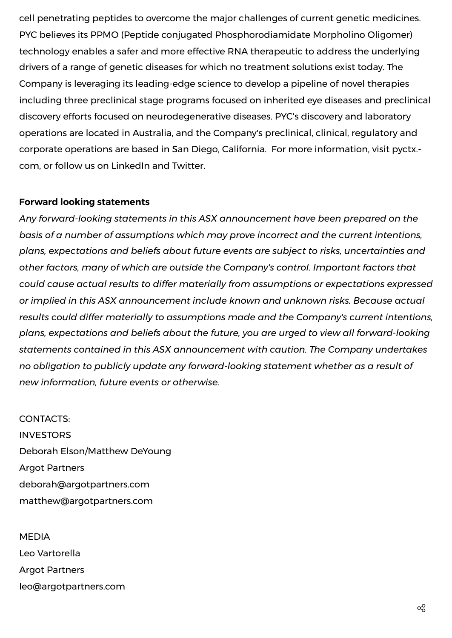cell penetrating peptides to overcome the major challenges of current genetic medicines. PYC believes its PPMO (Peptide conjugated Phosphorodiamidate Morpholino Oligomer) technology enables a safer and more effective RNA therapeutic to address the underlying drivers of a range of genetic diseases for which no treatment solutions exist today. The Company is leveraging its leading-edge science to develop a pipeline of novel therapies including three preclinical stage programs focused on inherited eye diseases and preclinical discovery efforts focused on neurodegenerative diseases. PYC's discovery and laboratory operations are located in Australia, and the Company's preclinical, clinical, regulatory and corporate operations are based in San Diego, California. For more [information,](https://c212.net/c/link/?t=0&l=en&o=3260577-1&h=3252570490&u=https%3A%2F%2Fpyctx.com%2F&a=pyctx.com) visit pyctx. com, or follow us on [LinkedIn](https://c212.net/c/link/?t=0&l=en&o=3260577-1&h=915979184&u=https%3A%2F%2Furl.emailprotection.link%2F%3FblCqFsAgyxi0r6T3mJfd_l_3WMcIh5MNB3N9UFCYzb4P0kz7pllOlotj0a8O1MGcVFGnM4989n-Y-V0PqVDsCBhaY_EZJf4gGatx_nB80tBYHosQPu9vRhzTVNsXTK_zV&a=LinkedIn) and [Twitter.](https://c212.net/c/link/?t=0&l=en&o=3260577-1&h=2306822354&u=https%3A%2F%2Ftwitter.com%2FPycTherapeutics&a=Twitter)

## **Forward looking statements**

*Any forward-looking statements in this ASX announcement have been prepared on the basis of a number of assumptions which may prove incorrect and the current intentions, plans, expectations and beliefs about future events are subject to risks, uncertainties and other factors, many of which are outside the Company's control. Important factors that could cause actual results to differ materially from assumptions or expectations expressed or implied in this ASX announcement include known and unknown risks. Because actual results could differ materially to assumptions made and the Company's current intentions, plans, expectations and beliefs about the future, you are urged to view all forward-looking statements contained in this ASX announcement with caution. The Company undertakes no obligation to publicly update any forward-looking statement whether as a result of new information, future events or otherwise.*

CONTACTS: INVESTORS Deborah Elson/Matthew DeYoung Argot Partners [deborah@argotpartners.com](mailto:deborah@argotpartners.com) matthew@argotpartners.com

MEDIA Leo Vartorella Argot Partners [leo@argotpartners.com](mailto:leo@argotpartners.com)